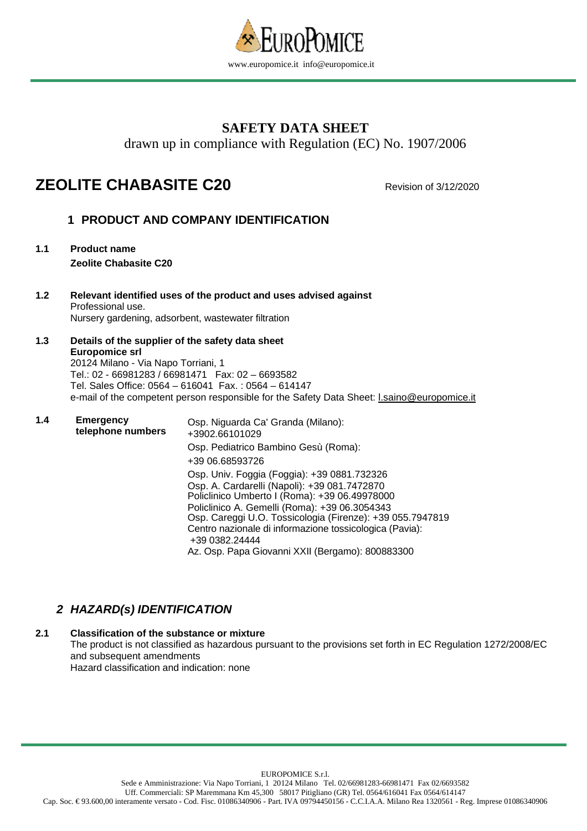

# **SAFETY DATA SHEET**

drawn up in compliance with Regulation (EC) No. 1907/2006

# **ZEOLITE CHABASITE C20** Revision of 3/12/2020

# **1 PRODUCT AND COMPANY IDENTIFICATION**

- **1.1 Product name Zeolite Chabasite C20**
- **1.2 Relevant identified uses of the product and uses advised against** Professional use. Nursery gardening, adsorbent, wastewater filtration
- **1.3 Details of the supplier of the safety data sheet Europomice srl**  20124 Milano - Via Napo Torriani, 1 Tel.: 02 - 66981283 / 66981471 Fax: 02 – 6693582 Tel. Sales Office: 0564 – 616041 Fax. : 0564 – 614147 e-mail of the competent person responsible for the Safety Data Sheet: Lsaino@europomice.it
- **1.4 Emergency telephone numbers**  Osp. Niguarda Ca' Granda (Milano): +3902.66101029 Osp. Pediatrico Bambino Gesù (Roma): +39 06.68593726 Osp. Univ. Foggia (Foggia): +39 0881.732326 Osp. A. Cardarelli (Napoli): +39 081.7472870 Policlinico Umberto I (Roma): +39 06.49978000 Policlinico A. Gemelli (Roma): +39 06.3054343 Osp. Careggi U.O. Tossicologia (Firenze): +39 055.7947819 Centro nazionale di informazione tossicologica (Pavia): +39 0382.24444 Az. Osp. Papa Giovanni XXII (Bergamo): 800883300

# **2 HAZARD(s) IDENTIFICATION**

### **2.1 Classification of the substance or mixture**

The product is not classified as hazardous pursuant to the provisions set forth in EC Regulation 1272/2008/EC and subsequent amendments

Hazard classification and indication: none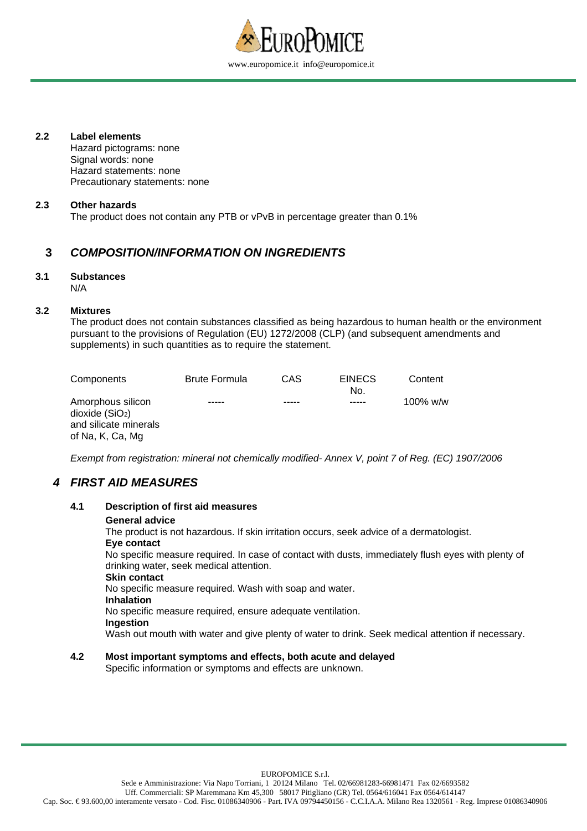

#### **2.2 Label elements**

Hazard pictograms: none Signal words: none Hazard statements: none Precautionary statements: none

#### **2.3 Other hazards**

The product does not contain any PTB or vPvB in percentage greater than 0.1%

### **3 COMPOSITION/INFORMATION ON INGREDIENTS**

#### **3.1 Substances**  N/A

#### **3.2 Mixtures**

The product does not contain substances classified as being hazardous to human health or the environment pursuant to the provisions of Regulation (EU) 1272/2008 (CLP) (and subsequent amendments and supplements) in such quantities as to require the statement.

| Components                                                                                   | <b>Brute Formula</b> | CAS | <b>EINECS</b><br>No. | Content  |
|----------------------------------------------------------------------------------------------|----------------------|-----|----------------------|----------|
| Amorphous silicon<br>dioxide(SiO <sub>2</sub> )<br>and silicate minerals<br>of Na, K, Ca, Mg | -----                |     | -----                | 100% w/w |

Exempt from registration: mineral not chemically modified- Annex V, point 7 of Reg. (EC) 1907/2006

### **4 FIRST AID MEASURES**

| 4.1 | <b>Description of first aid measures</b>                                                                                                      |
|-----|-----------------------------------------------------------------------------------------------------------------------------------------------|
|     | <b>General advice</b>                                                                                                                         |
|     | The product is not hazardous. If skin irritation occurs, seek advice of a dermatologist.                                                      |
|     | Eye contact                                                                                                                                   |
|     | No specific measure required. In case of contact with dusts, immediately flush eyes with plenty of<br>drinking water, seek medical attention. |
|     | <b>Skin contact</b>                                                                                                                           |
|     | No specific measure required. Wash with soap and water.                                                                                       |
|     | <b>Inhalation</b>                                                                                                                             |
|     | No specific measure required, ensure adequate ventilation.                                                                                    |
|     | Ingestion                                                                                                                                     |
|     | Wash out mouth with water and give plenty of water to drink. Seek medical attention if necessary.                                             |

### **4.2 Most important symptoms and effects, both acute and delayed**

Specific information or symptoms and effects are unknown.

EUROPOMICE S.r.l.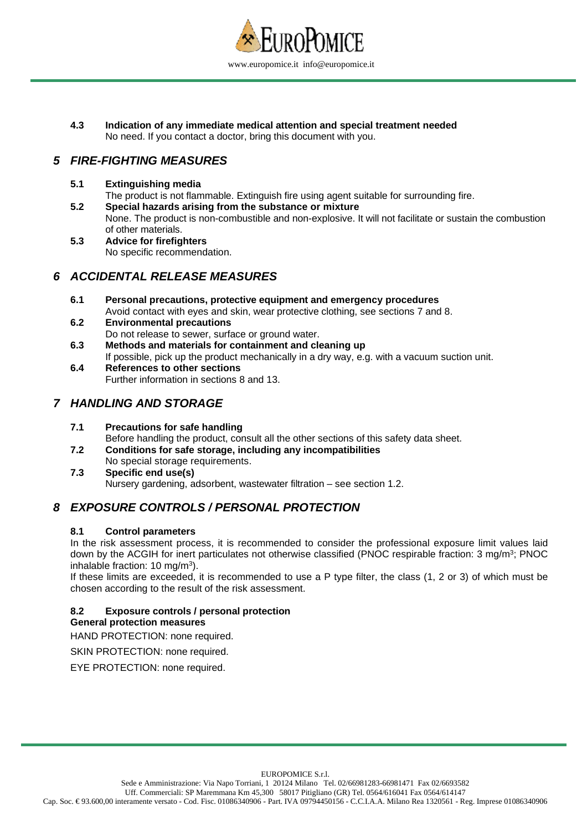

**4.3 Indication of any immediate medical attention and special treatment needed**  No need. If you contact a doctor, bring this document with you.

### **5 FIRE-FIGHTING MEASURES**

### **5.1 Extinguishing media**

The product is not flammable. Extinguish fire using agent suitable for surrounding fire.

- **5.2 Special hazards arising from the substance or mixture**  None. The product is non-combustible and non-explosive. It will not facilitate or sustain the combustion of other materials.
- **5.3 Advice for firefighters** No specific recommendation.

### **6 ACCIDENTAL RELEASE MEASURES**

- **6.1 Personal precautions, protective equipment and emergency procedures**  Avoid contact with eyes and skin, wear protective clothing, see sections 7 and 8.
- **6.2 Environmental precautions** Do not release to sewer, surface or ground water.
- **6.3 Methods and materials for containment and cleaning up** If possible, pick up the product mechanically in a dry way, e.g. with a vacuum suction unit.
- **6.4 References to other sections** Further information in sections 8 and 13.

### **7 HANDLING AND STORAGE**

### **7.1 Precautions for safe handling**

Before handling the product, consult all the other sections of this safety data sheet.

- **7.2 Conditions for safe storage, including any incompatibilities** No special storage requirements.
- **7.3 Specific end use(s)** Nursery gardening, adsorbent, wastewater filtration – see section 1.2.

# **8 EXPOSURE CONTROLS / PERSONAL PROTECTION**

### **8.1 Control parameters**

In the risk assessment process, it is recommended to consider the professional exposure limit values laid down by the ACGIH for inert particulates not otherwise classified (PNOC respirable fraction: 3 mg/m<sup>3</sup>; PNOC inhalable fraction: 10 mg/m<sup>3</sup>).

If these limits are exceeded, it is recommended to use a P type filter, the class (1, 2 or 3) of which must be chosen according to the result of the risk assessment.

### **8.2 Exposure controls / personal protection**

### **General protection measures**

HAND PROTECTION: none required.

SKIN PROTECTION: none required.

EYE PROTECTION: none required.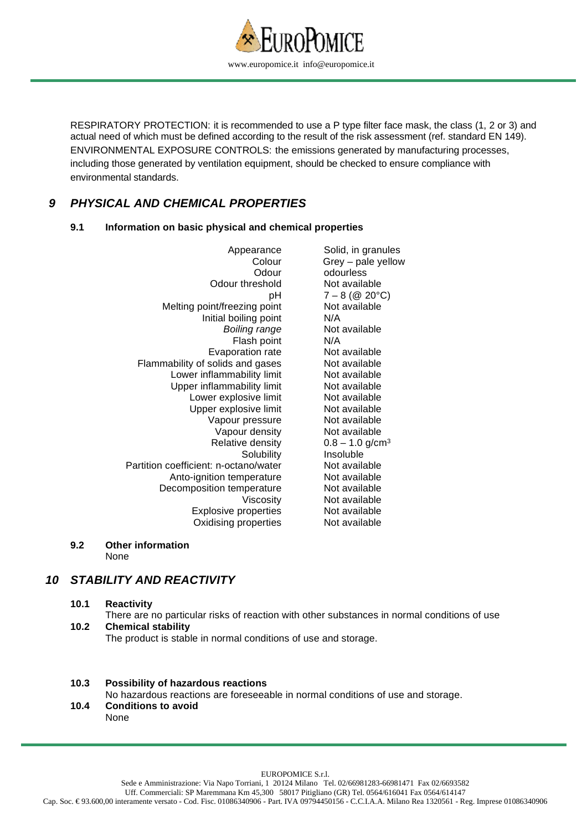

RESPIRATORY PROTECTION: it is recommended to use a P type filter face mask, the class (1, 2 or 3) and actual need of which must be defined according to the result of the risk assessment (ref. standard EN 149). ENVIRONMENTAL EXPOSURE CONTROLS: the emissions generated by manufacturing processes, including those generated by ventilation equipment, should be checked to ensure compliance with environmental standards.

### **9 PHYSICAL AND CHEMICAL PROPERTIES**

### **9.1 Information on basic physical and chemical properties**

| Appearance                            | Solid, in granules            |
|---------------------------------------|-------------------------------|
| Colour                                | Grey - pale yellow            |
| Odour                                 | odourless                     |
| Odour threshold                       | Not available                 |
| рH                                    | $7 - 8$ (@ 20°C)              |
| Melting point/freezing point          | Not available                 |
| Initial boiling point                 | N/A                           |
| <b>Boiling range</b>                  | Not available                 |
| Flash point                           | N/A                           |
| Evaporation rate                      | Not available                 |
| Flammability of solids and gases      | Not available                 |
| Lower inflammability limit            | Not available                 |
| Upper inflammability limit            | Not available                 |
| Lower explosive limit                 | Not available                 |
| Upper explosive limit                 | Not available                 |
| Vapour pressure                       | Not available                 |
| Vapour density                        | Not available                 |
| Relative density                      | $0.8 - 1.0$ g/cm <sup>3</sup> |
| Solubility                            | Insoluble                     |
| Partition coefficient: n-octano/water | Not available                 |
| Anto-ignition temperature             | Not available                 |
| Decomposition temperature             | Not available                 |
| Viscosity                             | Not available                 |
| <b>Explosive properties</b>           | Not available                 |
| Oxidising properties                  | Not available                 |
|                                       |                               |

#### **9.2 Other information**  None

# **10 STABILITY AND REACTIVITY**

 **10.1 Reactivity**  There are no particular risks of reaction with other substances in normal conditions of use  **10.2 Chemical stability** The product is stable in normal conditions of use and storage.

### **10.3 Possibility of hazardous reactions**

No hazardous reactions are foreseeable in normal conditions of use and storage.

 **10.4 Conditions to avoid**  None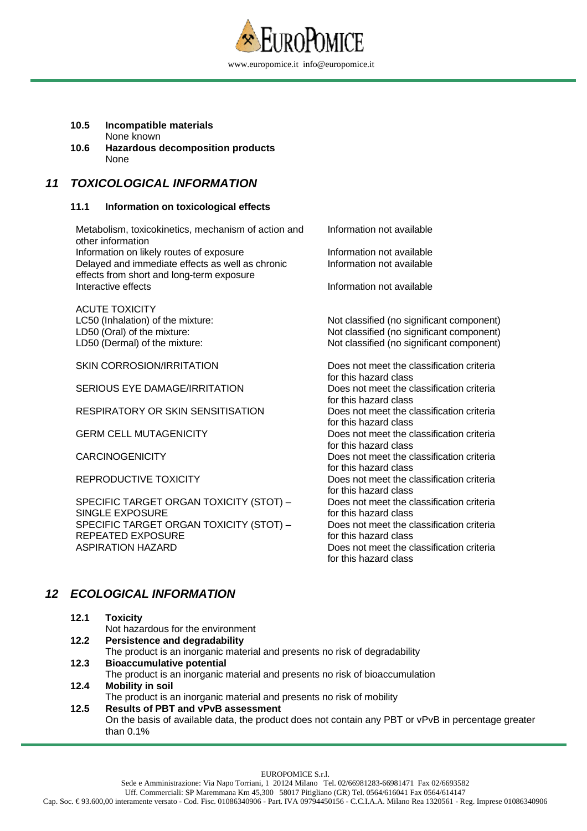

#### **10.5 Incompatible materials** None known

 **10.6 Hazardous decomposition products** None

### **11 TOXICOLOGICAL INFORMATION**

#### **11.1 Information on toxicological effects**

Metabolism, toxicokinetics, mechanism of action and other information Information not available Information on likely routes of exposure **Information not available** Delayed and immediate effects as well as chronic effects from short and long-term exposure Information not available Interactive effects **Information not available** ACUTE TOXICITY LC50 (Inhalation) of the mixture: Not classified (no significant component) LD50 (Oral) of the mixture:  $\blacksquare$  Not classified (no significant component) LD50 (Dermal) of the mixture: Not classified (no significant component) SKIN CORROSION/IRRITATION Does not meet the classification criteria for this hazard class SERIOUS EYE DAMAGE/IRRITATION Does not meet the classification criteria for this hazard class RESPIRATORY OR SKIN SENSITISATION Does not meet the classification criteria for this hazard class GERM CELL MUTAGENICITY **Dees not meet the classification criteria** for this hazard class CARCINOGENICITY Does not meet the classification criteria for this hazard class REPRODUCTIVE TOXICITY **Example 20 and SEP SET CONCLUST** Does not meet the classification criteria for this hazard class SPECIFIC TARGET ORGAN TOXICITY (STOT) – SINGLE EXPOSURE Does not meet the classification criteria for this hazard class SPECIFIC TARGET ORGAN TOXICITY (STOT) – REPEATED EXPOSURE Does not meet the classification criteria for this hazard class ASPIRATION HAZARD Does not meet the classification criteria for this hazard class

# **12 ECOLOGICAL INFORMATION**

| 12.1 | <b>Toxicity</b>                                                                                    |
|------|----------------------------------------------------------------------------------------------------|
|      | Not hazardous for the environment                                                                  |
| 12.2 | <b>Persistence and degradability</b>                                                               |
|      | The product is an inorganic material and presents no risk of degradability                         |
| 12.3 | <b>Bioaccumulative potential</b>                                                                   |
|      | The product is an inorganic material and presents no risk of bioaccumulation                       |
| 12.4 | <b>Mobility in soil</b>                                                                            |
|      | The product is an inorganic material and presents no risk of mobility                              |
| 12.5 | <b>Results of PBT and vPvB assessment</b>                                                          |
|      | On the basis of available data, the product does not contain any PBT or vPvB in percentage greater |
|      | than $0.1\%$                                                                                       |
|      |                                                                                                    |

EUROPOMICE S.r.l.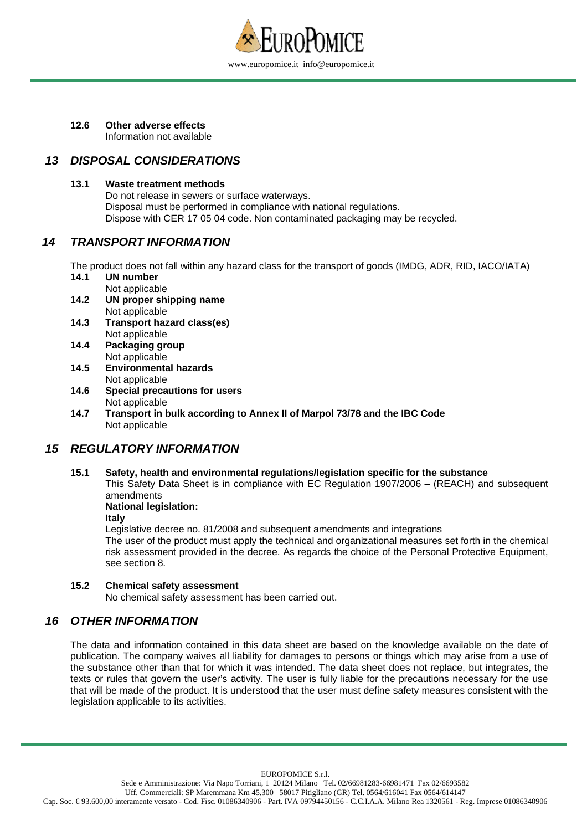

**12.6 Other adverse effects**  Information not available

### **13 DISPOSAL CONSIDERATIONS**

### **13.1 Waste treatment methods**

Do not release in sewers or surface waterways. Disposal must be performed in compliance with national regulations. Dispose with CER 17 05 04 code. Non contaminated packaging may be recycled.

### **14 TRANSPORT INFORMATION**

The product does not fall within any hazard class for the transport of goods (IMDG, ADR, RID, IACO/IATA) **14.1 UN number** 

- Not applicable
- **14.2 UN proper shipping name**  Not applicable
- **14.3 Transport hazard class(es)**  Not applicable
- **14.4 Packaging group**  Not applicable
- **14.5 Environmental hazards**  Not applicable
- **14.6 Special precautions for users**  Not applicable
- **14.7 Transport in bulk according to Annex II of Marpol 73/78 and the IBC Code**  Not applicable

### **15 REGULATORY INFORMATION**

 **15.1 Safety, health and environmental regulations/legislation specific for the substance** 

This Safety Data Sheet is in compliance with EC Regulation 1907/2006 – (REACH) and subsequent amendments

### **National legislation:**

**Italy** 

Legislative decree no. 81/2008 and subsequent amendments and integrations The user of the product must apply the technical and organizational measures set forth in the chemical risk assessment provided in the decree. As regards the choice of the Personal Protective Equipment, see section 8.

### **15.2 Chemical safety assessment**

No chemical safety assessment has been carried out.

### **16 OTHER INFORMATION**

The data and information contained in this data sheet are based on the knowledge available on the date of publication. The company waives all liability for damages to persons or things which may arise from a use of the substance other than that for which it was intended. The data sheet does not replace, but integrates, the texts or rules that govern the user's activity. The user is fully liable for the precautions necessary for the use that will be made of the product. It is understood that the user must define safety measures consistent with the legislation applicable to its activities.